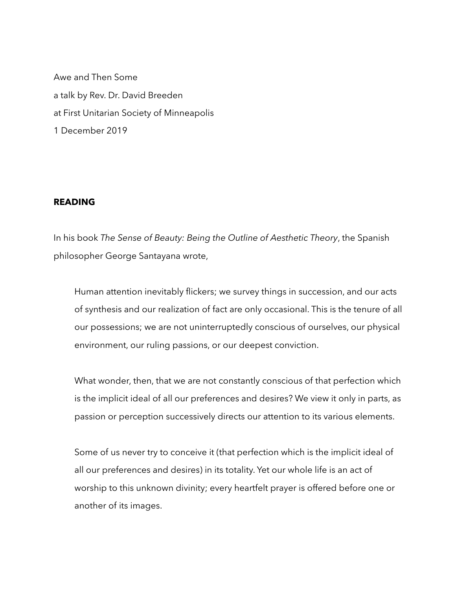Awe and Then Some a talk by Rev. Dr. David Breeden at First Unitarian Society of Minneapolis 1 December 2019

### **READING**

In his book *The Sense of Beauty: Being the Outline of Aesthetic Theory*, the Spanish philosopher George Santayana wrote,

Human attention inevitably flickers; we survey things in succession, and our acts of synthesis and our realization of fact are only occasional. This is the tenure of all our possessions; we are not uninterruptedly conscious of ourselves, our physical environment, our ruling passions, or our deepest conviction.

What wonder, then, that we are not constantly conscious of that perfection which is the implicit ideal of all our preferences and desires? We view it only in parts, as passion or perception successively directs our attention to its various elements.

Some of us never try to conceive it (that perfection which is the implicit ideal of all our preferences and desires) in its totality. Yet our whole life is an act of worship to this unknown divinity; every heartfelt prayer is offered before one or another of its images.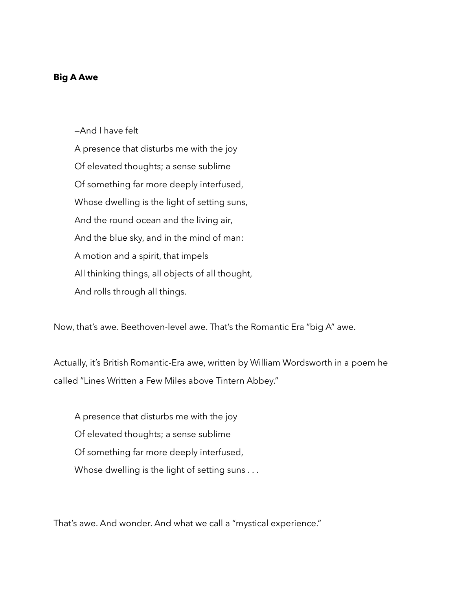#### **Big A Awe**

—And I have felt

A presence that disturbs me with the joy Of elevated thoughts; a sense sublime Of something far more deeply interfused, Whose dwelling is the light of setting suns, And the round ocean and the living air, And the blue sky, and in the mind of man: A motion and a spirit, that impels All thinking things, all objects of all thought, And rolls through all things.

Now, that's awe. Beethoven-level awe. That's the Romantic Era "big A" awe.

Actually, it's British Romantic-Era awe, written by William Wordsworth in a poem he called "Lines Written a Few Miles above Tintern Abbey."

A presence that disturbs me with the joy Of elevated thoughts; a sense sublime Of something far more deeply interfused, Whose dwelling is the light of setting suns ...

That's awe. And wonder. And what we call a "mystical experience."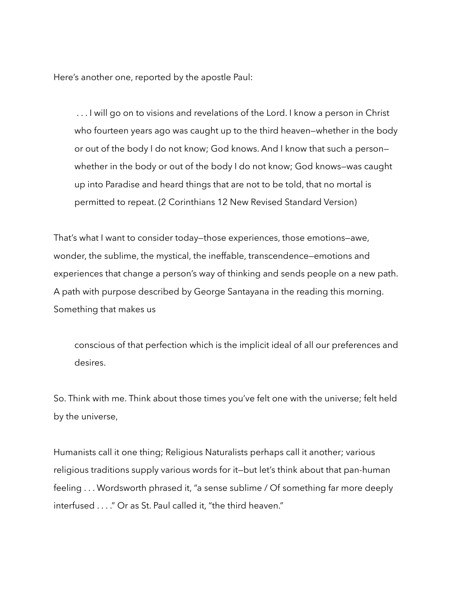Here's another one, reported by the apostle Paul:

 . . . I will go on to visions and revelations of the Lord. I know a person in Christ who fourteen years ago was caught up to the third heaven—whether in the body or out of the body I do not know; God knows. And I know that such a person whether in the body or out of the body I do not know; God knows—was caught up into Paradise and heard things that are not to be told, that no mortal is permitted to repeat. (2 Corinthians 12 New Revised Standard Version)

That's what I want to consider today—those experiences, those emotions—awe, wonder, the sublime, the mystical, the ineffable, transcendence—emotions and experiences that change a person's way of thinking and sends people on a new path. A path with purpose described by George Santayana in the reading this morning. Something that makes us

conscious of that perfection which is the implicit ideal of all our preferences and desires.

So. Think with me. Think about those times you've felt one with the universe; felt held by the universe,

Humanists call it one thing; Religious Naturalists perhaps call it another; various religious traditions supply various words for it—but let's think about that pan-human feeling . . . Wordsworth phrased it, "a sense sublime / Of something far more deeply interfused . . . ." Or as St. Paul called it, "the third heaven."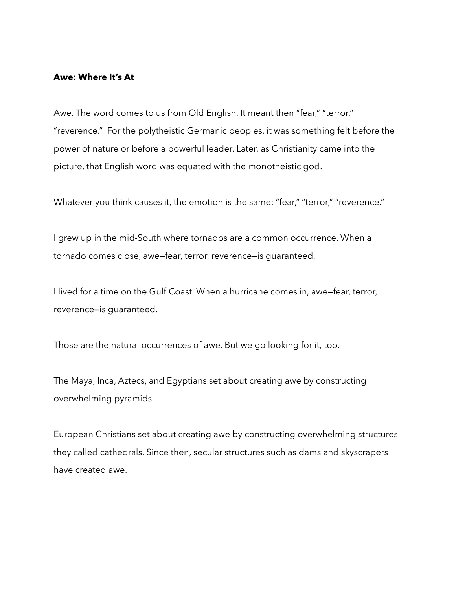#### **Awe: Where It's At**

Awe. The word comes to us from Old English. It meant then "fear," "terror," "reverence." For the polytheistic Germanic peoples, it was something felt before the power of nature or before a powerful leader. Later, as Christianity came into the picture, that English word was equated with the monotheistic god.

Whatever you think causes it, the emotion is the same: "fear," "terror," "reverence."

I grew up in the mid-South where tornados are a common occurrence. When a tornado comes close, awe—fear, terror, reverence—is guaranteed.

I lived for a time on the Gulf Coast. When a hurricane comes in, awe—fear, terror, reverence—is guaranteed.

Those are the natural occurrences of awe. But we go looking for it, too.

The Maya, Inca, Aztecs, and Egyptians set about creating awe by constructing overwhelming pyramids.

European Christians set about creating awe by constructing overwhelming structures they called cathedrals. Since then, secular structures such as dams and skyscrapers have created awe.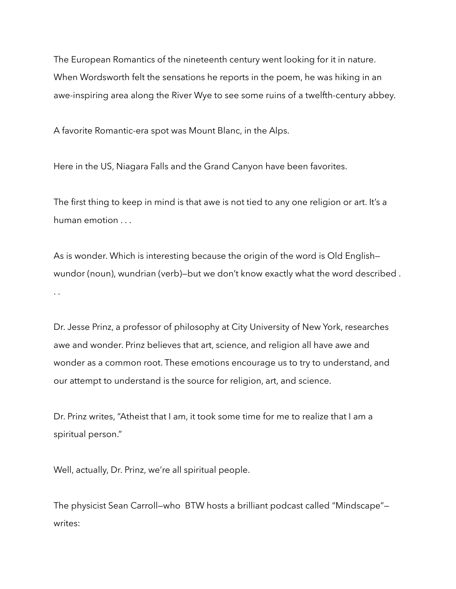The European Romantics of the nineteenth century went looking for it in nature. When Wordsworth felt the sensations he reports in the poem, he was hiking in an awe-inspiring area along the River Wye to see some ruins of a twelfth-century abbey.

A favorite Romantic-era spot was Mount Blanc, in the Alps.

Here in the US, Niagara Falls and the Grand Canyon have been favorites.

The first thing to keep in mind is that awe is not tied to any one religion or art. It's a human emotion . . .

As is wonder. Which is interesting because the origin of the word is Old English wundor (noun), wundrian (verb)—but we don't know exactly what the word described . . .

Dr. Jesse Prinz, a professor of philosophy at City University of New York, researches awe and wonder. Prinz believes that art, science, and religion all have awe and wonder as a common root. These emotions encourage us to try to understand, and our attempt to understand is the source for religion, art, and science.

Dr. Prinz writes, "Atheist that I am, it took some time for me to realize that I am a spiritual person."

Well, actually, Dr. Prinz, we're all spiritual people.

The physicist Sean Carroll—who BTW hosts a brilliant podcast called "Mindscape" writes: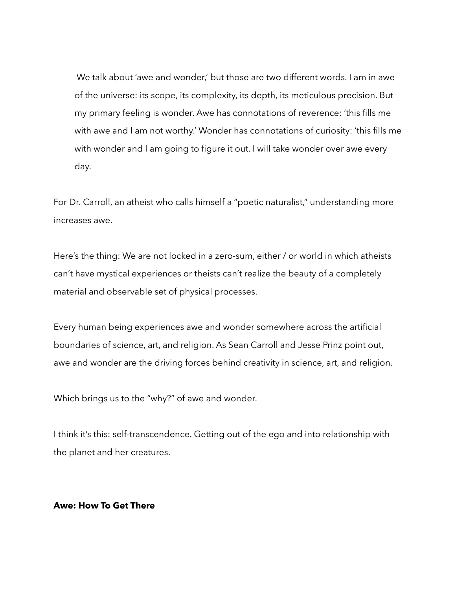We talk about 'awe and wonder,' but those are two different words. I am in awe of the universe: its scope, its complexity, its depth, its meticulous precision. But my primary feeling is wonder. Awe has connotations of reverence: 'this fills me with awe and I am not worthy.' Wonder has connotations of curiosity: 'this fills me with wonder and I am going to figure it out. I will take wonder over awe every day.

For Dr. Carroll, an atheist who calls himself a "poetic naturalist," understanding more increases awe.

Here's the thing: We are not locked in a zero-sum, either / or world in which atheists can't have mystical experiences or theists can't realize the beauty of a completely material and observable set of physical processes.

Every human being experiences awe and wonder somewhere across the artificial boundaries of science, art, and religion. As Sean Carroll and Jesse Prinz point out, awe and wonder are the driving forces behind creativity in science, art, and religion.

Which brings us to the "why?" of awe and wonder.

I think it's this: self-transcendence. Getting out of the ego and into relationship with the planet and her creatures.

### **Awe: How To Get There**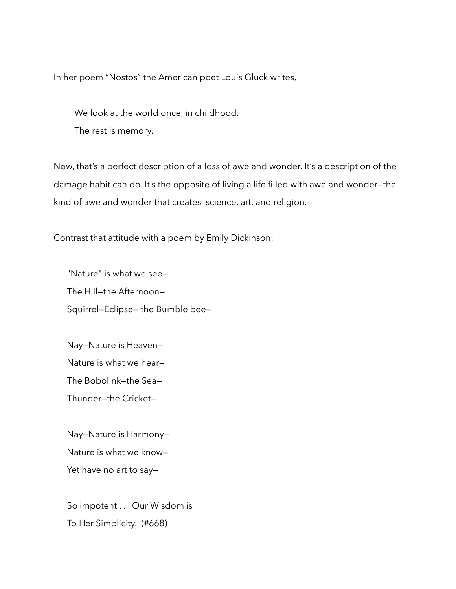In her poem "Nostos" the American poet Louis Gluck writes,

We look at the world once, in childhood.

The rest is memory.

Now, that's a perfect description of a loss of awe and wonder. It's a description of the damage habit can do. It's the opposite of living a life filled with awe and wonder—the kind of awe and wonder that creates science, art, and religion.

Contrast that attitude with a poem by Emily Dickinson:

"Nature" is what we see— The Hill—the Afternoon— Squirrel—Eclipse— the Bumble bee—

Nay—Nature is Heaven— Nature is what we hear— The Bobolink—the Sea— Thunder—the Cricket—

Nay—Nature is Harmony— Nature is what we know— Yet have no art to say—

So impotent . . . Our Wisdom is To Her Simplicity. (#668)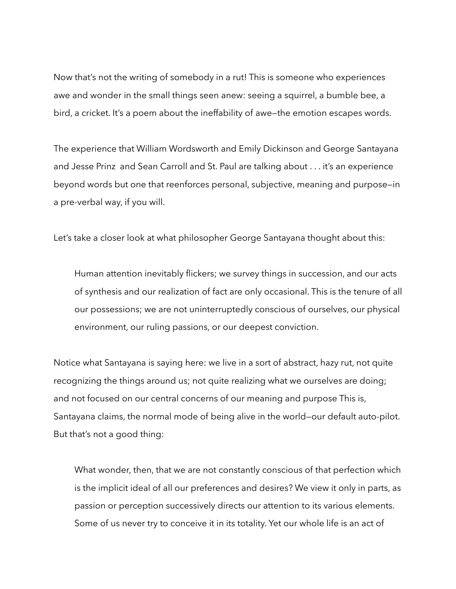Now that's not the writing of somebody in a rut! This is someone who experiences awe and wonder in the small things seen anew: seeing a squirrel, a bumble bee, a bird, a cricket. It's a poem about the ineffability of awe—the emotion escapes words.

The experience that William Wordsworth and Emily Dickinson and George Santayana and Jesse Prinz and Sean Carroll and St. Paul are talking about . . . it's an experience beyond words but one that reenforces personal, subjective, meaning and purpose—in a pre-verbal way, if you will.

Let's take a closer look at what philosopher George Santayana thought about this:

Human attention inevitably flickers; we survey things in succession, and our acts of synthesis and our realization of fact are only occasional. This is the tenure of all our possessions; we are not uninterruptedly conscious of ourselves, our physical environment, our ruling passions, or our deepest conviction.

Notice what Santayana is saying here: we live in a sort of abstract, hazy rut, not quite recognizing the things around us; not quite realizing what we ourselves are doing; and not focused on our central concerns of our meaning and purpose This is, Santayana claims, the normal mode of being alive in the world—our default auto-pilot. But that's not a good thing:

What wonder, then, that we are not constantly conscious of that perfection which is the implicit ideal of all our preferences and desires? We view it only in parts, as passion or perception successively directs our attention to its various elements. Some of us never try to conceive it in its totality. Yet our whole life is an act of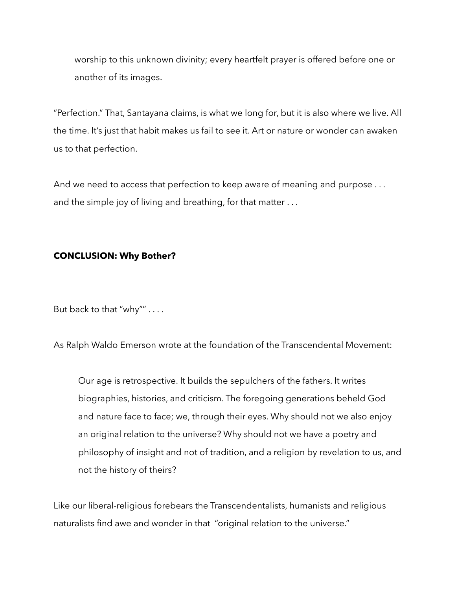worship to this unknown divinity; every heartfelt prayer is offered before one or another of its images.

"Perfection." That, Santayana claims, is what we long for, but it is also where we live. All the time. It's just that habit makes us fail to see it. Art or nature or wonder can awaken us to that perfection.

And we need to access that perfection to keep aware of meaning and purpose ... and the simple joy of living and breathing, for that matter ...

# **CONCLUSION: Why Bother?**

But back to that "why"" . . . .

As Ralph Waldo Emerson wrote at the foundation of the Transcendental Movement:

Our age is retrospective. It builds the sepulchers of the fathers. It writes biographies, histories, and criticism. The foregoing generations beheld God and nature face to face; we, through their eyes. Why should not we also enjoy an original relation to the universe? Why should not we have a poetry and philosophy of insight and not of tradition, and a religion by revelation to us, and not the history of theirs?

Like our liberal-religious forebears the Transcendentalists, humanists and religious naturalists find awe and wonder in that "original relation to the universe."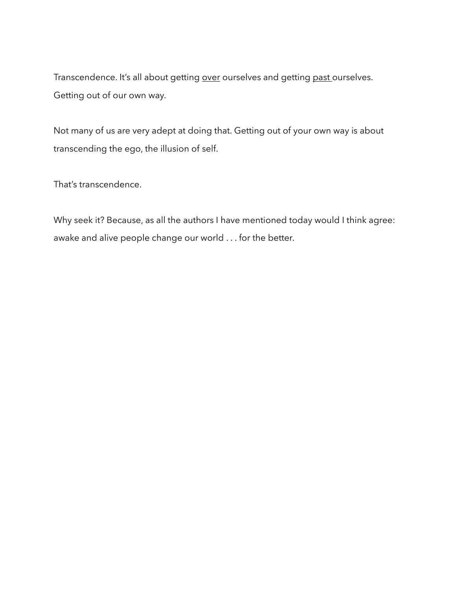Transcendence. It's all about getting over ourselves and getting past ourselves. Getting out of our own way.

Not many of us are very adept at doing that. Getting out of your own way is about transcending the ego, the illusion of self.

That's transcendence.

Why seek it? Because, as all the authors I have mentioned today would I think agree: awake and alive people change our world . . . for the better.